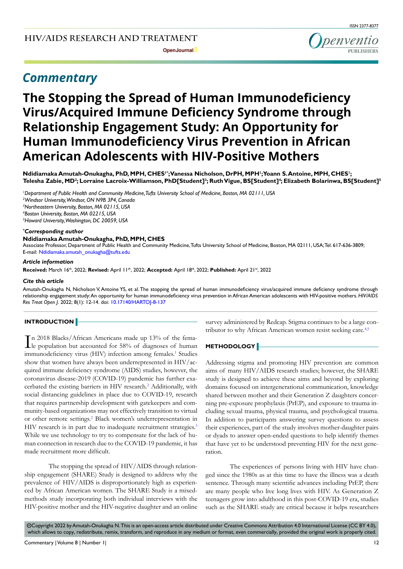**Open Journal**

## *Commentary*

# **The Stopping the Spread of Human Immunodeficiency Virus/Acquired Immune Deficiency Syndrome through Relationship Engagement Study: An Opportunity for Human Immunodeficiency Virus Prevention in African American Adolescents with HIV-Positive Mothers**

**Ndidiamaka Amutah-Onukagha, PhD, MPH, CHES1\*; Vanessa Nicholson, DrPH, MPH1 ; Yoann S. Antoine, MPH, CHES1 ;**   ${\sf Telesha~Zabie, MD^2}$ ; Lorraine Lacroix-Williamson, PhD[Student] $^3$ ; Ruth Vigue, BS[Student] $^4$ ; Elizabeth Bolarinwa, BS[Student] $^5$ 

 *Department of Public Health and Community Medicine, Tufts University School of Medicine, Boston, MA 02111, USA Windsor University, Windsor, ON N9B 3P4, Canada Northeastern University, Boston, MA 02115, USA Boston University, Boston, MA 02215, USA Howard University, Washington, DC 20059, USA*

#### *\* Corresponding author*

#### **Ndidiamaka Amutah-Onukagha, PhD, MPH, CHES**

Associate Professor, Department of Public Health and Community Medicine, Tufts University School of Medicine, Boston, MA 02111, USA; Tel. 617-636-3809; E-mail: Ndidiamaka.amutah\_onukagha@tufts.edu

#### *Article information*

**Received:** March 16th, 2022; **Revised:** April 11th, 2022; **Accepted:** April 18th, 2022; **Published:** April 21st, 2022

#### *Cite this article*

Amutah-Onukagha N, Nicholson V, Antoine YS, et al. The stopping the spread of human immunodeficiency virus/acquired immune deficiency syndrome through relationship engagement study: An opportunity for human immunodeficiency virus prevention in African American adolescents with HIV-positive mothers. *HIV/AIDS Res Treat Open J*. 2022; 8(1): 12-14. doi: [10.17140/HARTOJ-8-137](http://dx.doi.org/10.17140/HARTOJ-8-137)

## **INTRODUCTION**

In 2018 Blacks/African Americans made up 13% of the fema-<br>le population but accounted for 58% of diagnoses of human le population but accounted for 58% of diagnoses of human immunodeficiency virus (HIV) infection among females.<sup>[1](#page-1-0)</sup> Studies show that women have always been underrepresented in HIV/acquired immune deficiency syndrome (AIDS) studies, however, the coronavirus disease-2019 (COVID-19) pandemic has further exa-cerbated the existing barriers in HIV research.<sup>[2](#page-2-0)</sup> Additionally, with social distancing guidelines in place due to COVID-19, research that requires partnership development with gatekeepers and community-based organizations may not effectively transition to virtual or other remote settings.<sup>[2](#page-2-0)</sup> Black women's underrepresentation in HIV research is in part due to inadequate recruitment strategies.<sup>[3](#page-2-1)</sup> While we use technology to try to compensate for the lack of human connection in research due to the COVID-19 pandemic, it has made recruitment more difficult.

The stopping the spread of HIV/AIDS through relationship engagement (SHARE) Study is designed to address why the prevalence of HIV/AIDS is disproportionately high as experienced by African American women. The SHARE Study is a mixedmethods study incorporating both individual interviews with the HIV-positive mother and the HIV-negative daughter and an online survey administered by Redcap. Stigma continues to be a large con-tributor to why African American women resist seeking care.<sup>[4,5](#page-2-2)</sup>

## **METHODOLOGY**

Addressing stigma and promoting HIV prevention are common aims of many HIV/AIDS research studies; however, the SHARE study is designed to achieve these aims and beyond by exploring domains focused on intergenerational communication, knowledge shared between mother and their Generation Z daughters concerning pre-exposure prophylaxis (PrEP), and exposure to trauma including sexual trauma, physical trauma, and psychological trauma. In addition to participants answering survey questions to assess their experiences, part of the study involves mother-daughter pairs or dyads to answer open-ended questions to help identify themes that have yet to be understood preventing HIV for the next generation.

The experiences of persons living with HIV have changed since the 1980s as at this time to have the illness was a death sentence. Through many scientific advances including PrEP, there are many people who live long lives with HIV. As Generation Z teenagers grow into adulthood in this post-COVID-19 era, studies such as the SHARE study are critical because it helps researchers

 $\circledcirc$ Copyright 2022 by Amutah-Onukagha N. This is an open-access article distributed under Creative Commons Attribution 4.0 International License ([CC BY 4.0\)](https://creativecommons.org/licenses/by/4.0/), which allows to copy, redistribute, remix, transform, and reproduce in any medium or format, even commercially, provided the original work is properly cited.

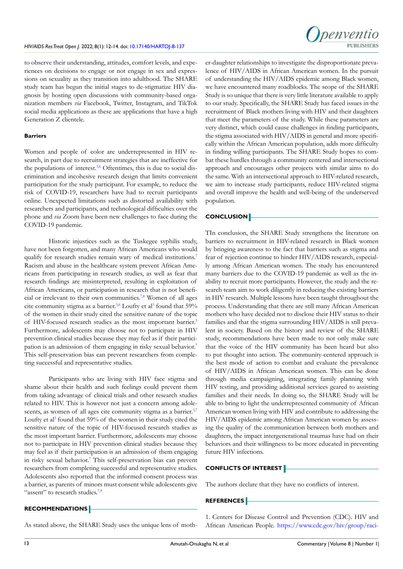penyentio

to observe their understanding, attitudes, comfort levels, and experiences on decisions to engage or not engage in sex and expressions on sexuality as they transition into adulthood. The SHARE study team has begun the initial stages to de-stigmatize HIV diagnosis by hosting open discussions with community-based organization members *via* Facebook, Twitter, Instagram, and TikTok social media applications as these are applications that have a high Generation Z clientele.

#### **Barriers**

Women and people of color are underrepresented in HIV research, in part due to recruitment strategies that are ineffective for the populations of interest.<sup>3,[6](#page-2-3)</sup> Oftentimes, this is due to social discrimination and incohesive research design that limits convenient participation for the study participant. For example, to reduce the risk of COVID-19, researchers have had to recruit participants online. Unexpected limitations such as distorted availability with researchers and participants, and technological difficulties over the phone and *via* Zoom have been new challenges to face during the COVID-19 pandemic.

Historic injustices such as the Tuskegee syphilis study, have not been forgotten, and many African Americans who would qualify for research studies remain wary of medical institutions.<sup>[7](#page-2-4)</sup> Racism and abuse in the healthcare system prevent African Americans from participating in research studies, as well as fear that research findings are misinterpreted, resulting in exploitation of African Americans, or participation in research that is not beneficial or irrelevant to their own communities.<sup>7,8</sup> Women of all ages cite community stigma as a barrier.<sup>[3](#page-2-1),6</sup> Loufty et al<sup>3</sup> found that 59% of the women in their study cited the sensitive nature of the topic of HIV-focused research studies as the most important barrier.<sup>[3](#page-2-1)</sup> Furthermore, adolescents may choose not to participate in HIV prevention clinical studies because they may feel as if their participation is an admission of them engaging in risky sexual behavior.[7](#page-2-4) This self-preservation bias can prevent researchers from completing successful and representative studies.

Participants who are living with HIV face stigma and shame about their health and such feelings could prevent them from taking advantage of clinical trials and other research studies related to HIV. This is however not just a concern among adole-scents, as women of all ages cite community stigma as a barrier.<sup>[3,](#page-2-1)[7](#page-2-4)</sup> Loufty et al<sup>[3](#page-2-1)</sup> found that 59% of the women in their study cited the sensitive nature of the topic of HIV-focused research studies as the most important barrier. Furthermore, adolescents may choose not to participate in HIV prevention clinical studies because they may feel as if their participation is an admission of them engaging in risky sexual behavior.[7](#page-2-4) This self-preservation bias can prevent researchers from completing successful and representative studies. Adolescents also reported that the informed consent process was a barrier, as parents of minors must consent while adolescents give "assent" to research studies.<sup>7,[9](#page-2-5)</sup>

er-daughter relationships to investigate the disproportionate prevalence of HIV/AIDS in African American women. In the pursuit of understanding the HIV/AIDS epidemic among Black women, we have encountered many roadblocks. The scope of the SHARE Study is so unique that there is very little literature available to apply to our study. Specifically, the SHARE Study has faced issues in the recruitment of Black mothers living with HIV and their daughters that meet the parameters of the study. While these parameters are very distinct, which could cause challenges in finding participants, the stigma associated with HIV/AIDS in general and more specifically within the African American population, adds more difficulty in finding willing participants. The SHARE Study hopes to combat these hurdles through a community centered and intersectional approach and encourages other projects with similar aims to do the same. With an intersectional approach to HIV-related research, we aim to increase study participants, reduce HIV-related stigma and overall improve the health and well-being of the underserved population.

## **CONCLUSION**

TIn conclusion, the SHARE Study strengthens the literature on barriers to recruitment in HIV-related research in Black women by bringing awareness to the fact that barriers such as stigma and fear of rejection continue to hinder HIV/AIDS research, especially among African American women. The study has encountered many barriers due to the COVID-19 pandemic as well as the inability to recruit more participants. However, the study and the research team aim to work diligently in reducing the existing barriers in HIV research. Multiple lessons have been taught throughout the process. Understanding that there are still many African American mothers who have decided not to disclose their HIV status to their families and that the stigma surrounding HIV/AIDS is still prevalent in society. Based on the history and review of the SHARE study, recommendations have been made to not only make sure that the voice of the HIV community has been heard but also to put thought into action. The community-centered approach is the best mode of action to combat and evaluate the prevalence of HIV/AIDS in African American women. This can be done through media campaigning, integrating family planning with HIV testing, and providing additional services geared to assisting families and their needs. In doing so, the SHARE Study will be able to bring to light the underrepresented community of African American women living with HIV and contribute to addressing the HIV/AIDS epidemic among African American women by assessing the quality of the communication between both mothers and daughters, the impact intergenerational traumas have had on their behaviors and their willingness to be more educated in preventing future HIV infections.

## **CONFLICTS OF INTEREST**

The authors declare that they have no conflicts of interest.

## **REFERENCES**

## **RECOMMENDATIONS**

As stated above, the SHARE Study uses the unique lens of moth-

<span id="page-1-0"></span>1. Centers for Disease Control and Prevention (CDC). HIV and African American People. [https://www.cdc.gov/hiv/group/raci](https://www.cdc.gov/hiv/group/racialethnic/africanamericans/index.html)-